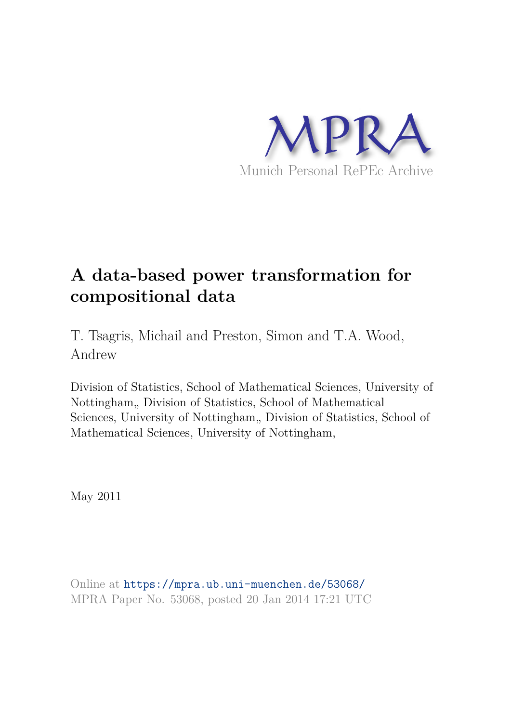

# **A data-based power transformation for compositional data**

T. Tsagris, Michail and Preston, Simon and T.A. Wood, Andrew

Division of Statistics, School of Mathematical Sciences, University of Nottingham, Division of Statistics, School of Mathematical Sciences, University of Nottingham, Division of Statistics, School of Mathematical Sciences, University of Nottingham,

May 2011

Online at https://mpra.ub.uni-muenchen.de/53068/ MPRA Paper No. 53068, posted 20 Jan 2014 17:21 UTC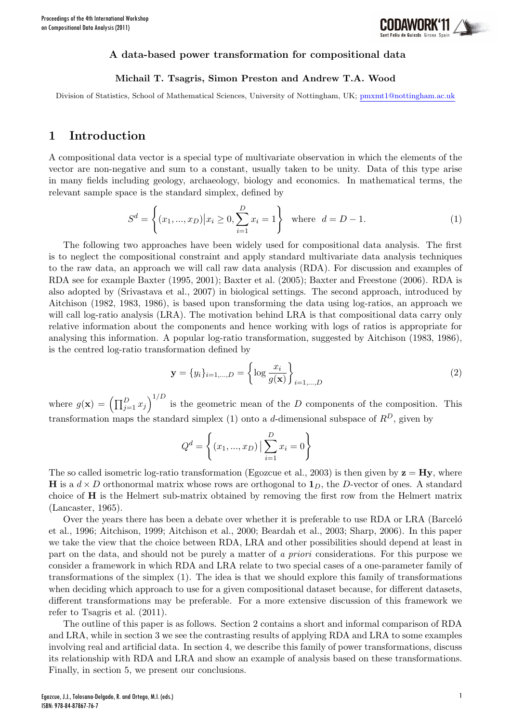

#### A data-based power transformation for compositional data

#### Michail T. Tsagris, Simon Preston and Andrew T.A. Wood

Division of Statistics, School of Mathematical Sciences, University of Nottingham, UK; pmxmt1@nottingham.ac.uk

### 1 Introduction

A compositional data vector is a special type of multivariate observation in which the elements of the vector are non-negative and sum to a constant, usually taken to be unity. Data of this type arise in many fields including geology, archaeology, biology and economics. In mathematical terms, the relevant sample space is the standard simplex, defined by

$$
S^{d} = \left\{ (x_1, ..., x_D) | x_i \ge 0, \sum_{i=1}^{D} x_i = 1 \right\} \text{ where } d = D - 1.
$$
 (1)

The following two approaches have been widely used for compositional data analysis. The first is to neglect the compositional constraint and apply standard multivariate data analysis techniques to the raw data, an approach we will call raw data analysis (RDA). For discussion and examples of RDA see for example Baxter (1995, 2001); Baxter et al. (2005); Baxter and Freestone (2006). RDA is also adopted by (Srivastava et al., 2007) in biological settings. The second approach, introduced by Aitchison (1982, 1983, 1986), is based upon transforming the data using log-ratios, an approach we will call log-ratio analysis (LRA). The motivation behind LRA is that compositional data carry only relative information about the components and hence working with logs of ratios is appropriate for analysing this information. A popular log-ratio transformation, suggested by Aitchison (1983, 1986), is the centred log-ratio transformation defined by

$$
\mathbf{y} = \{y_i\}_{i=1,\dots,D} = \left\{ \log \frac{x_i}{g(\mathbf{x})} \right\}_{i=1,\dots,D}
$$
(2)

where  $g(\mathbf{x}) = (\prod_{j=1}^D x_j)^{1/D}$  is the geometric mean of the D components of the composition. This transformation maps the standard simplex (1) onto a d-dimensional subspace of  $R^D$ , given by

$$
Q^d = \left\{ (x_1, ..., x_D) \mid \sum_{i=1}^{D} x_i = 0 \right\}
$$

The so called isometric log-ratio transformation (Egozcue et al., 2003) is then given by  $z = Hy$ , where **H** is a  $d \times D$  orthonormal matrix whose rows are orthogonal to  $\mathbf{1}_D$ , the D-vector of ones. A standard choice of H is the Helmert sub-matrix obtained by removing the first row from the Helmert matrix (Lancaster, 1965).

Over the years there has been a debate over whether it is preferable to use RDA or LRA (Barcelo et al., 1996; Aitchison, 1999; Aitchison et al., 2000; Beardah et al., 2003; Sharp, 2006). In this paper we take the view that the choice between RDA, LRA and other possibilities should depend at least in part on the data, and should not be purely a matter of a priori considerations. For this purpose we consider a framework in which RDA and LRA relate to two special cases of a one-parameter family of transformations of the simplex (1). The idea is that we should explore this family of transformations when deciding which approach to use for a given compositional dataset because, for different datasets, different transformations may be preferable. For a more extensive discussion of this framework we refer to Tsagris et al. (2011).

The outline of this paper is as follows. Section 2 contains a short and informal comparison of RDA and LRA, while in section 3 we see the contrasting results of applying RDA and LRA to some examples involving real and artificial data. In section 4, we describe this family of power transformations, discuss its relationship with RDA and LRA and show an example of analysis based on these transformations. Finally, in section 5, we present our conclusions.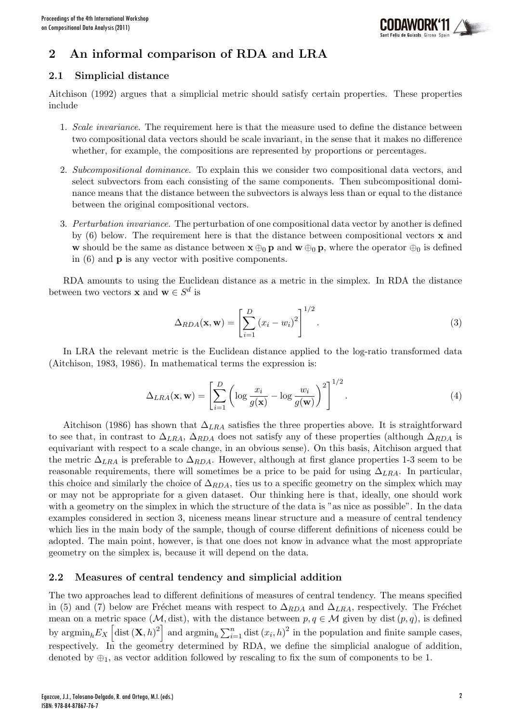

# 2 An informal comparison of RDA and LRA

### 2.1 Simplicial distance

Aitchison (1992) argues that a simplicial metric should satisfy certain properties. These properties include

- 1. Scale invariance. The requirement here is that the measure used to define the distance between two compositional data vectors should be scale invariant, in the sense that it makes no difference whether, for example, the compositions are represented by proportions or percentages.
- 2. Subcompositional dominance. To explain this we consider two compositional data vectors, and select subvectors from each consisting of the same components. Then subcompositional dominance means that the distance between the subvectors is always less than or equal to the distance between the original compositional vectors.
- 3. Perturbation invariance. The perturbation of one compositional data vector by another is defined by  $(6)$  below. The requirement here is that the distance between compositional vectors **x** and w should be the same as distance between  $\mathbf{x} \oplus_0 \mathbf{p}$  and  $\mathbf{w} \oplus_0 \mathbf{p}$ , where the operator  $\oplus_0$  is defined in (6) and p is any vector with positive components.

RDA amounts to using the Euclidean distance as a metric in the simplex. In RDA the distance between two vectors **x** and **w**  $\in S^d$  is

$$
\Delta_{RDA}(\mathbf{x}, \mathbf{w}) = \left[ \sum_{i=1}^{D} (x_i - w_i)^2 \right]^{1/2}.
$$
\n(3)

In LRA the relevant metric is the Euclidean distance applied to the log-ratio transformed data (Aitchison, 1983, 1986). In mathematical terms the expression is:

$$
\Delta_{LRA}(\mathbf{x}, \mathbf{w}) = \left[ \sum_{i=1}^{D} \left( \log \frac{x_i}{g(\mathbf{x})} - \log \frac{w_i}{g(\mathbf{w})} \right)^2 \right]^{1/2}.
$$
\n(4)

Aitchison (1986) has shown that  $\Delta_{LRA}$  satisfies the three properties above. It is straightforward to see that, in contrast to  $\Delta_{LRA}$ ,  $\Delta_{RDA}$  does not satisfy any of these properties (although  $\Delta_{RDA}$  is equivariant with respect to a scale change, in an obvious sense). On this basis, Aitchison argued that the metric  $\Delta_{LRA}$  is preferable to  $\Delta_{RDA}$ . However, although at first glance properties 1-3 seem to be reasonable requirements, there will sometimes be a price to be paid for using  $\Delta_{LRA}$ . In particular, this choice and similarly the choice of  $\Delta_{RDA}$ , ties us to a specific geometry on the simplex which may or may not be appropriate for a given dataset. Our thinking here is that, ideally, one should work with a geometry on the simplex in which the structure of the data is "as nice as possible". In the data examples considered in section 3, niceness means linear structure and a measure of central tendency which lies in the main body of the sample, though of course different definitions of niceness could be adopted. The main point, however, is that one does not know in advance what the most appropriate geometry on the simplex is, because it will depend on the data.

### 2.2 Measures of central tendency and simplicial addition

The two approaches lead to different definitions of measures of central tendency. The means specified in (5) and (7) below are Fréchet means with respect to  $\Delta_{RDA}$  and  $\Delta_{LRA}$ , respectively. The Fréchet mean on a metric space ( $M$ , dist), with the distance between  $p, q \in M$  given by dist  $(p, q)$ , is defined by  $\operatorname{argmin}_h E_X \left[ \operatorname{dist}(\mathbf{X}, h)^2 \right]$  and  $\operatorname{argmin}_h \sum_{i=1}^n \operatorname{dist} (x_i, h)^2$  in the population and finite sample cases, respectively. In the geometry determined by RDA, we define the simplicial analogue of addition, denoted by  $\oplus_1$ , as vector addition followed by rescaling to fix the sum of components to be 1.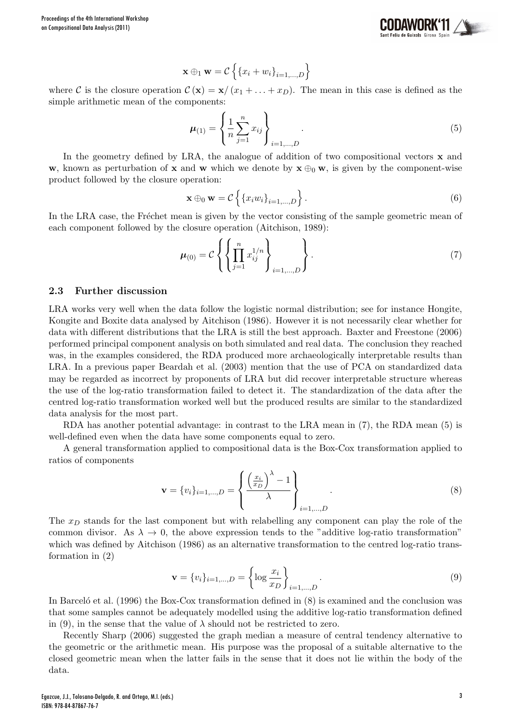

$$
\mathbf{x} \oplus_1 \mathbf{w} = \mathcal{C} \left\{ \left\{ x_i + w_i \right\}_{i=1,\dots,D} \right\}
$$

where C is the closure operation  $C(\mathbf{x}) = \mathbf{x}/(x_1 + ... + x_D)$ . The mean in this case is defined as the simple arithmetic mean of the components:

$$
\mu_{(1)} = \left\{ \frac{1}{n} \sum_{j=1}^{n} x_{ij} \right\}_{i=1,\dots,D} .
$$
 (5)

In the geometry defined by LRA, the analogue of addition of two compositional vectors  $\bf{x}$  and w, known as perturbation of x and w which we denote by  $x \oplus_0 w$ , is given by the component-wise product followed by the closure operation:

$$
\mathbf{x} \oplus_0 \mathbf{w} = C \left\{ \left\{ x_i w_i \right\}_{i=1,\dots,D} \right\}.
$$
 (6)

In the LRA case, the Fréchet mean is given by the vector consisting of the sample geometric mean of each component followed by the closure operation (Aitchison, 1989):

$$
\mu_{(0)} = C \left\{ \left\{ \prod_{j=1}^{n} x_{ij}^{1/n} \right\}_{i=1,\dots,D} \right\}.
$$
\n(7)

#### 2.3 Further discussion

LRA works very well when the data follow the logistic normal distribution; see for instance Hongite, Kongite and Boxite data analysed by Aitchison (1986). However it is not necessarily clear whether for data with different distributions that the LRA is still the best approach. Baxter and Freestone (2006) performed principal component analysis on both simulated and real data. The conclusion they reached was, in the examples considered, the RDA produced more archaeologically interpretable results than LRA. In a previous paper Beardah et al. (2003) mention that the use of PCA on standardized data may be regarded as incorrect by proponents of LRA but did recover interpretable structure whereas the use of the log-ratio transformation failed to detect it. The standardization of the data after the centred log-ratio transformation worked well but the produced results are similar to the standardized data analysis for the most part.

RDA has another potential advantage: in contrast to the LRA mean in (7), the RDA mean (5) is well-defined even when the data have some components equal to zero.

A general transformation applied to compositional data is the Box-Cox transformation applied to ratios of components

$$
\mathbf{v} = \{v_i\}_{i=1,\dots,D} = \left\{ \frac{\left(\frac{x_i}{x_D}\right)^{\lambda} - 1}{\lambda} \right\}_{i=1,\dots,D}.
$$
 (8)

The  $x_D$  stands for the last component but with relabelling any component can play the role of the common divisor. As  $\lambda \to 0$ , the above expression tends to the "additive log-ratio transformation" which was defined by Aitchison (1986) as an alternative transformation to the centred log-ratio transformation in (2)

$$
\mathbf{v} = \{v_i\}_{i=1,\dots,D} = \left\{ \log \frac{x_i}{x_D} \right\}_{i=1,\dots,D}.
$$
\n(9)

In Barcelo<sup> $\acute{e}$ </sup> et al. (1996) the Box-Cox transformation defined in (8) is examined and the conclusion was that some samples cannot be adequately modelled using the additive log-ratio transformation defined in (9), in the sense that the value of  $\lambda$  should not be restricted to zero.

Recently Sharp (2006) suggested the graph median a measure of central tendency alternative to the geometric or the arithmetic mean. His purpose was the proposal of a suitable alternative to the closed geometric mean when the latter fails in the sense that it does not lie within the body of the data.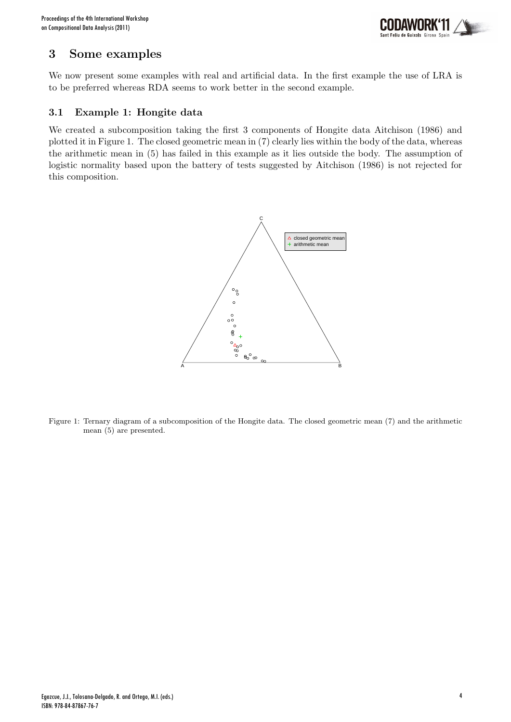

### 3 Some examples

We now present some examples with real and artificial data. In the first example the use of LRA is to be preferred whereas RDA seems to work better in the second example.

### 3.1 Example 1: Hongite data

We created a subcomposition taking the first 3 components of Hongite data Aitchison (1986) and plotted it in Figure 1. The closed geometric mean in (7) clearly lies within the body of the data, whereas the arithmetic mean in (5) has failed in this example as it lies outside the body. The assumption of logistic normality based upon the battery of tests suggested by Aitchison (1986) is not rejected for this composition.



Figure 1: Ternary diagram of a subcomposition of the Hongite data. The closed geometric mean (7) and the arithmetic mean (5) are presented.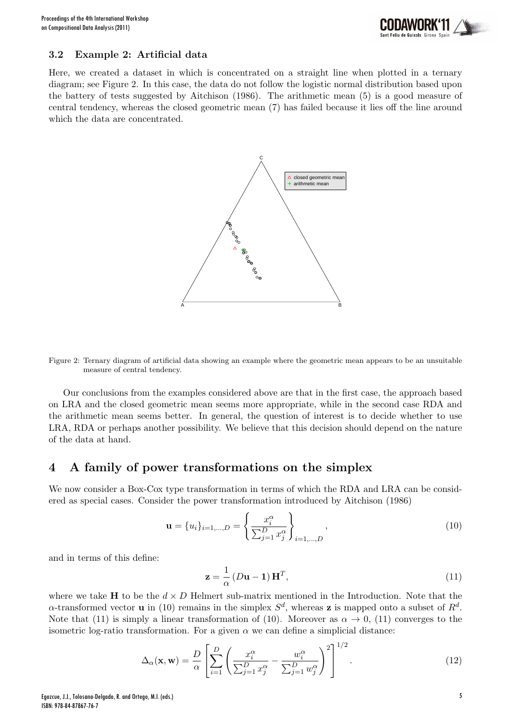

#### 3.2 Example 2: Artificial data

Here, we created a dataset in which is concentrated on a straight line when plotted in a ternary diagram; see Figure 2. In this case, the data do not follow the logistic normal distribution based upon the battery of tests suggested by Aitchison (1986). The arithmetic mean (5) is a good measure of central tendency, whereas the closed geometric mean (7) has failed because it lies off the line around which the data are concentrated.



Figure 2: Ternary diagram of artificial data showing an example where the geometric mean appears to be an unsuitable measure of central tendency.

Our conclusions from the examples considered above are that in the first case, the approach based on LRA and the closed geometric mean seems more appropriate, while in the second case RDA and the arithmetic mean seems better. In general, the question of interest is to decide whether to use LRA, RDA or perhaps another possibility. We believe that this decision should depend on the nature of the data at hand.

#### 4 A family of power transformations on the simplex

We now consider a Box-Cox type transformation in terms of which the RDA and LRA can be considered as special cases. Consider the power transformation introduced by Aitchison (1986)

$$
\mathbf{u} = \{u_i\}_{i=1,\dots,D} = \left\{\frac{x_i^{\alpha}}{\sum_{j=1}^D x_j^{\alpha}}\right\}_{i=1,\dots,D},\tag{10}
$$

and in terms of this define:

$$
\mathbf{z} = \frac{1}{\alpha} \left( D\mathbf{u} - \mathbf{1} \right) \mathbf{H}^T, \tag{11}
$$

where we take H to be the  $d \times D$  Helmert sub-matrix mentioned in the Introduction. Note that the  $\alpha$ -transformed vector **u** in (10) remains in the simplex  $S^d$ , whereas **z** is mapped onto a subset of  $R^d$ . Note that (11) is simply a linear transformation of (10). Moreover as  $\alpha \to 0$ , (11) converges to the isometric log-ratio transformation. For a given  $\alpha$  we can define a simplicial distance:

$$
\Delta_{\alpha}(\mathbf{x}, \mathbf{w}) = \frac{D}{\alpha} \left[ \sum_{i=1}^{D} \left( \frac{x_i^{\alpha}}{\sum_{j=1}^{D} x_j^{\alpha}} - \frac{w_i^{\alpha}}{\sum_{j=1}^{D} w_j^{\alpha}} \right)^2 \right]^{1/2}.
$$
\n(12)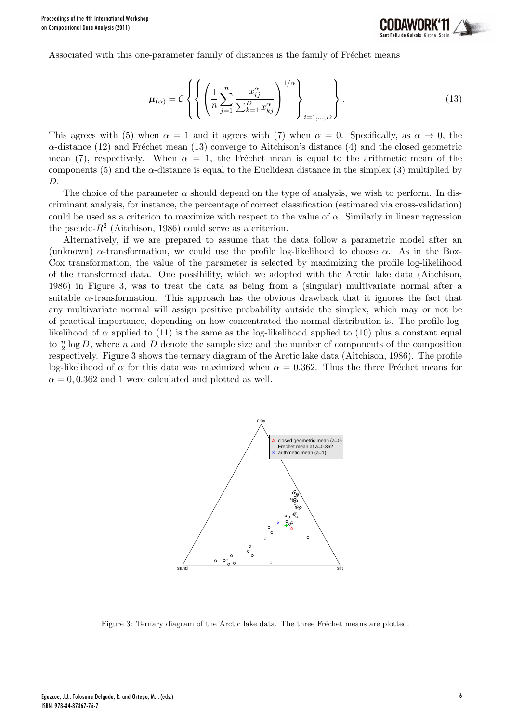

Associated with this one-parameter family of distances is the family of Fréchet means

$$
\mu_{(\alpha)} = C \left\{ \left\{ \left( \frac{1}{n} \sum_{j=1}^{n} \frac{x_{ij}^{\alpha}}{\sum_{k=1}^{D} x_{kj}^{\alpha}} \right)^{1/\alpha} \right\}_{i=1,\dots,D} \right\}.
$$
\n(13)

This agrees with (5) when  $\alpha = 1$  and it agrees with (7) when  $\alpha = 0$ . Specifically, as  $\alpha \to 0$ , the  $\alpha$ -distance (12) and Fréchet mean (13) converge to Aitchison's distance (4) and the closed geometric mean (7), respectively. When  $\alpha = 1$ , the Fréchet mean is equal to the arithmetic mean of the components  $(5)$  and the  $\alpha$ -distance is equal to the Euclidean distance in the simplex  $(3)$  multiplied by D.

The choice of the parameter  $\alpha$  should depend on the type of analysis, we wish to perform. In discriminant analysis, for instance, the percentage of correct classification (estimated via cross-validation) could be used as a criterion to maximize with respect to the value of  $\alpha$ . Similarly in linear regression the pseudo- $R^2$  (Aitchison, 1986) could serve as a criterion.

Alternatively, if we are prepared to assume that the data follow a parametric model after an (unknown)  $\alpha$ -transformation, we could use the profile log-likelihood to choose  $\alpha$ . As in the Box-Cox transformation, the value of the parameter is selected by maximizing the profile log-likelihood of the transformed data. One possibility, which we adopted with the Arctic lake data (Aitchison, 1986) in Figure 3, was to treat the data as being from a (singular) multivariate normal after a suitable  $\alpha$ -transformation. This approach has the obvious drawback that it ignores the fact that any multivariate normal will assign positive probability outside the simplex, which may or not be of practical importance, depending on how concentrated the normal distribution is. The profile loglikelihood of  $\alpha$  applied to (11) is the same as the log-likelihood applied to (10) plus a constant equal to  $\frac{n}{2}$  log D, where n and D denote the sample size and the number of components of the composition respectively. Figure 3 shows the ternary diagram of the Arctic lake data (Aitchison, 1986). The profile log-likelihood of  $\alpha$  for this data was maximized when  $\alpha = 0.362$ . Thus the three Fréchet means for  $\alpha = 0, 0.362$  and 1 were calculated and plotted as well.



Figure 3: Ternary diagram of the Arctic lake data. The three Fréchet means are plotted.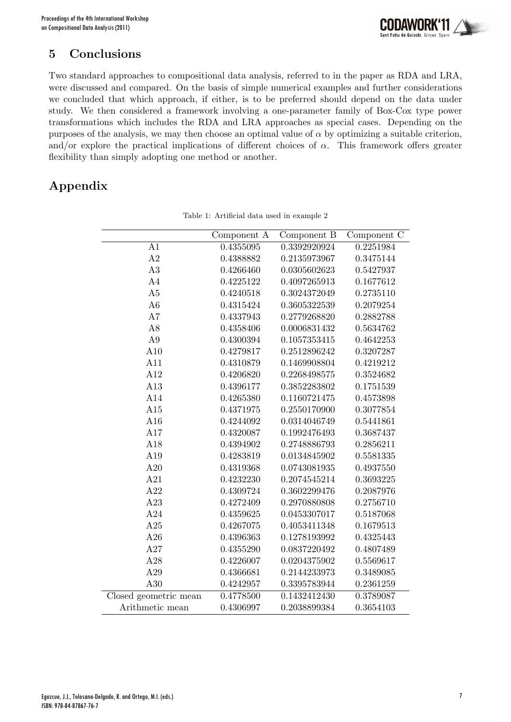

## 5 Conclusions

Two standard approaches to compositional data analysis, referred to in the paper as RDA and LRA, were discussed and compared. On the basis of simple numerical examples and further considerations we concluded that which approach, if either, is to be preferred should depend on the data under study. We then considered a framework involving a one-parameter family of Box-Cox type power transformations which includes the RDA and LRA approaches as special cases. Depending on the purposes of the analysis, we may then choose an optimal value of  $\alpha$  by optimizing a suitable criterion, and/or explore the practical implications of different choices of  $\alpha$ . This framework offers greater flexibility than simply adopting one method or another.

# Appendix

|                       | Component A | Component B  | Component C |
|-----------------------|-------------|--------------|-------------|
| A1                    | 0.4355095   | 0.3392920924 | 0.2251984   |
| A2                    | 0.4388882   | 0.2135973967 | 0.3475144   |
| A3                    | 0.4266460   | 0.0305602623 | 0.5427937   |
| A4                    | 0.4225122   | 0.4097265913 | 0.1677612   |
| A5                    | 0.4240518   | 0.3024372049 | 0.2735110   |
| A6                    | 0.4315424   | 0.3605322539 | 0.2079254   |
| A7                    | 0.4337943   | 0.2779268820 | 0.2882788   |
| A8                    | 0.4358406   | 0.0006831432 | 0.5634762   |
| A <sub>9</sub>        | 0.4300394   | 0.1057353415 | 0.4642253   |
| A10                   | 0.4279817   | 0.2512896242 | 0.3207287   |
| A11                   | 0.4310879   | 0.1469908804 | 0.4219212   |
| A12                   | 0.4206820   | 0.2268498575 | 0.3524682   |
| A13                   | 0.4396177   | 0.3852283802 | 0.1751539   |
| A14                   | 0.4265380   | 0.1160721475 | 0.4573898   |
| A15                   | 0.4371975   | 0.2550170900 | 0.3077854   |
| A16                   | 0.4244092   | 0.0314046749 | 0.5441861   |
| A17                   | 0.4320087   | 0.1992476493 | 0.3687437   |
| A18                   | 0.4394902   | 0.2748886793 | 0.2856211   |
| A19                   | 0.4283819   | 0.0134845902 | 0.5581335   |
| A20                   | 0.4319368   | 0.0743081935 | 0.4937550   |
| A21                   | 0.4232230   | 0.2074545214 | 0.3693225   |
| A22                   | 0.4309724   | 0.3602299476 | 0.2087976   |
| A23                   | 0.4272409   | 0.2970880808 | 0.2756710   |
| A24                   | 0.4359625   | 0.0453307017 | 0.5187068   |
| A25                   | 0.4267075   | 0.4053411348 | 0.1679513   |
| A26                   | 0.4396363   | 0.1278193992 | 0.4325443   |
| A27                   | 0.4355290   | 0.0837220492 | 0.4807489   |
| A28                   | 0.4226007   | 0.0204375902 | 0.5569617   |
| A29                   | 0.4366681   | 0.2144233973 | 0.3489085   |
| A30                   | 0.4242957   | 0.3395783944 | 0.2361259   |
| Closed geometric mean | 0.4778500   | 0.1432412430 | 0.3789087   |
| Arithmetic mean       | 0.4306997   | 0.2038899384 | 0.3654103   |

Table 1: Artificial data used in example 2